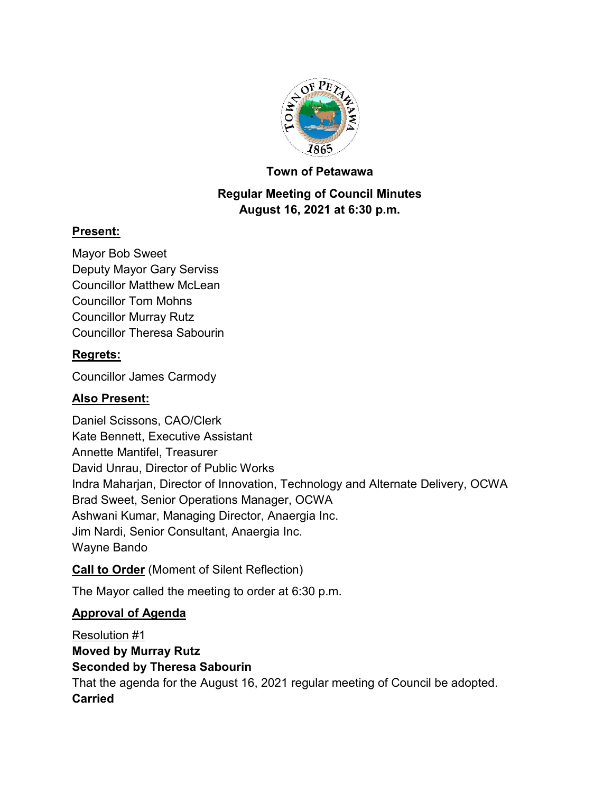

#### **Town of Petawawa**

# **Regular Meeting of Council Minutes August 16, 2021 at 6:30 p.m.**

## **Present:**

Mayor Bob Sweet Deputy Mayor Gary Serviss Councillor Matthew McLean Councillor Tom Mohns Councillor Murray Rutz Councillor Theresa Sabourin

## **Regrets:**

Councillor James Carmody

## **Also Present:**

Daniel Scissons, CAO/Clerk Kate Bennett, Executive Assistant Annette Mantifel, Treasurer David Unrau, Director of Public Works Indra Maharjan, Director of Innovation, Technology and Alternate Delivery, OCWA Brad Sweet, Senior Operations Manager, OCWA Ashwani Kumar, Managing Director, Anaergia Inc. Jim Nardi, Senior Consultant, Anaergia Inc. Wayne Bando

## **Call to Order** (Moment of Silent Reflection)

The Mayor called the meeting to order at 6:30 p.m.

## **Approval of Agenda**

Resolution #1 **Moved by Murray Rutz Seconded by Theresa Sabourin** That the agenda for the August 16, 2021 regular meeting of Council be adopted. **Carried**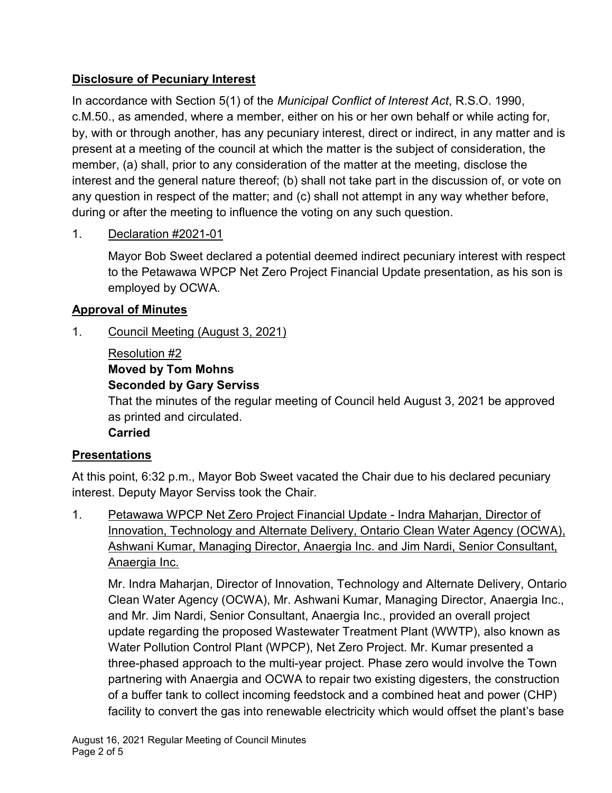## **Disclosure of Pecuniary Interest**

In accordance with Section 5(1) of the *Municipal Conflict of Interest Act*, R.S.O. 1990, c.M.50., as amended, where a member, either on his or her own behalf or while acting for, by, with or through another, has any pecuniary interest, direct or indirect, in any matter and is present at a meeting of the council at which the matter is the subject of consideration, the member, (a) shall, prior to any consideration of the matter at the meeting, disclose the interest and the general nature thereof; (b) shall not take part in the discussion of, or vote on any question in respect of the matter; and (c) shall not attempt in any way whether before, during or after the meeting to influence the voting on any such question.

1. Declaration #2021-01

Mayor Bob Sweet declared a potential deemed indirect pecuniary interest with respect to the Petawawa WPCP Net Zero Project Financial Update presentation, as his son is employed by OCWA.

# **Approval of Minutes**

1. Council Meeting (August 3, 2021)

# Resolution #2

# **Moved by Tom Mohns**

## **Seconded by Gary Serviss**

That the minutes of the regular meeting of Council held August 3, 2021 be approved as printed and circulated.

## **Carried**

# **Presentations**

At this point, 6:32 p.m., Mayor Bob Sweet vacated the Chair due to his declared pecuniary interest. Deputy Mayor Serviss took the Chair.

1. Petawawa WPCP Net Zero Project Financial Update - Indra Maharjan, Director of Innovation, Technology and Alternate Delivery, Ontario Clean Water Agency (OCWA), Ashwani Kumar, Managing Director, Anaergia Inc. and Jim Nardi, Senior Consultant, Anaergia Inc.

Mr. Indra Maharjan, Director of Innovation, Technology and Alternate Delivery, Ontario Clean Water Agency (OCWA), Mr. Ashwani Kumar, Managing Director, Anaergia Inc., and Mr. Jim Nardi, Senior Consultant, Anaergia Inc., provided an overall project update regarding the proposed Wastewater Treatment Plant (WWTP), also known as Water Pollution Control Plant (WPCP), Net Zero Project. Mr. Kumar presented a three-phased approach to the multi-year project. Phase zero would involve the Town partnering with Anaergia and OCWA to repair two existing digesters, the construction of a buffer tank to collect incoming feedstock and a combined heat and power (CHP) facility to convert the gas into renewable electricity which would offset the plant's base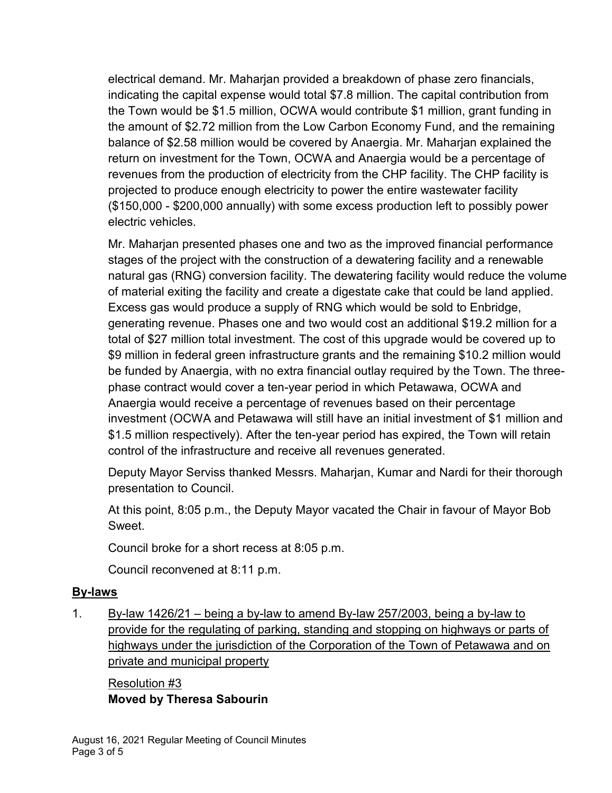electrical demand. Mr. Maharjan provided a breakdown of phase zero financials, indicating the capital expense would total \$7.8 million. The capital contribution from the Town would be \$1.5 million, OCWA would contribute \$1 million, grant funding in the amount of \$2.72 million from the Low Carbon Economy Fund, and the remaining balance of \$2.58 million would be covered by Anaergia. Mr. Maharjan explained the return on investment for the Town, OCWA and Anaergia would be a percentage of revenues from the production of electricity from the CHP facility. The CHP facility is projected to produce enough electricity to power the entire wastewater facility (\$150,000 - \$200,000 annually) with some excess production left to possibly power electric vehicles.

Mr. Maharjan presented phases one and two as the improved financial performance stages of the project with the construction of a dewatering facility and a renewable natural gas (RNG) conversion facility. The dewatering facility would reduce the volume of material exiting the facility and create a digestate cake that could be land applied. Excess gas would produce a supply of RNG which would be sold to Enbridge, generating revenue. Phases one and two would cost an additional \$19.2 million for a total of \$27 million total investment. The cost of this upgrade would be covered up to \$9 million in federal green infrastructure grants and the remaining \$10.2 million would be funded by Anaergia, with no extra financial outlay required by the Town. The threephase contract would cover a ten-year period in which Petawawa, OCWA and Anaergia would receive a percentage of revenues based on their percentage investment (OCWA and Petawawa will still have an initial investment of \$1 million and \$1.5 million respectively). After the ten-year period has expired, the Town will retain control of the infrastructure and receive all revenues generated.

Deputy Mayor Serviss thanked Messrs. Maharjan, Kumar and Nardi for their thorough presentation to Council.

At this point, 8:05 p.m., the Deputy Mayor vacated the Chair in favour of Mayor Bob Sweet.

Council broke for a short recess at 8:05 p.m.

Council reconvened at 8:11 p.m.

#### **By-laws**

1. By-law 1426/21 – being a by-law to amend By-law 257/2003, being a by-law to provide for the regulating of parking, standing and stopping on highways or parts of highways under the jurisdiction of the Corporation of the Town of Petawawa and on private and municipal property

Resolution #3 **Moved by Theresa Sabourin**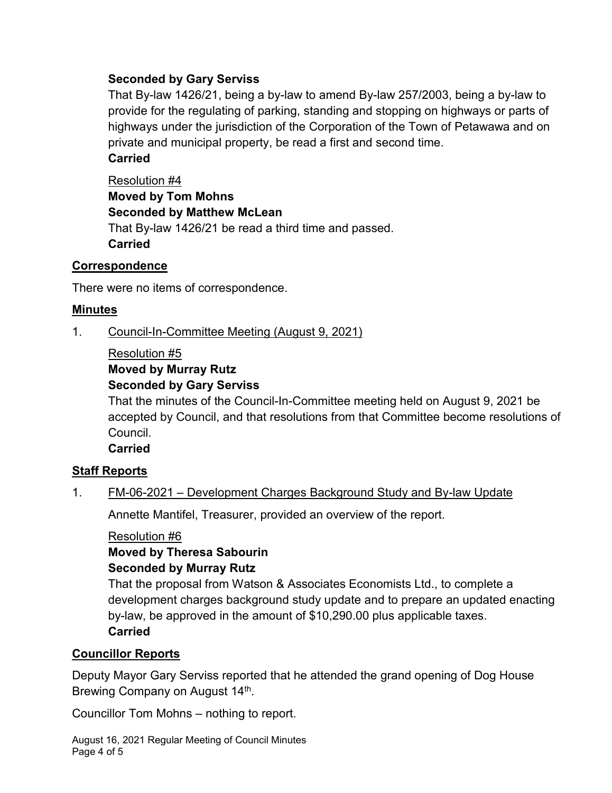## **Seconded by Gary Serviss**

That By-law 1426/21, being a by-law to amend By-law 257/2003, being a by-law to provide for the regulating of parking, standing and stopping on highways or parts of highways under the jurisdiction of the Corporation of the Town of Petawawa and on private and municipal property, be read a first and second time.

## **Carried**

Resolution #4 **Moved by Tom Mohns Seconded by Matthew McLean** That By-law 1426/21 be read a third time and passed. **Carried**

#### **Correspondence**

There were no items of correspondence.

## **Minutes**

1. Council-In-Committee Meeting (August 9, 2021)

#### Resolution #5

## **Moved by Murray Rutz**

#### **Seconded by Gary Serviss**

That the minutes of the Council-In-Committee meeting held on August 9, 2021 be accepted by Council, and that resolutions from that Committee become resolutions of Council.

**Carried**

#### **Staff Reports**

#### 1. FM-06-2021 – Development Charges Background Study and By-law Update

Annette Mantifel, Treasurer, provided an overview of the report.

#### Resolution #6

# **Moved by Theresa Sabourin**

#### **Seconded by Murray Rutz**

That the proposal from Watson & Associates Economists Ltd., to complete a development charges background study update and to prepare an updated enacting by-law, be approved in the amount of \$10,290.00 plus applicable taxes. **Carried**

#### **Councillor Reports**

Deputy Mayor Gary Serviss reported that he attended the grand opening of Dog House Brewing Company on August 14<sup>th</sup>.

Councillor Tom Mohns – nothing to report.

August 16, 2021 Regular Meeting of Council Minutes Page 4 of 5